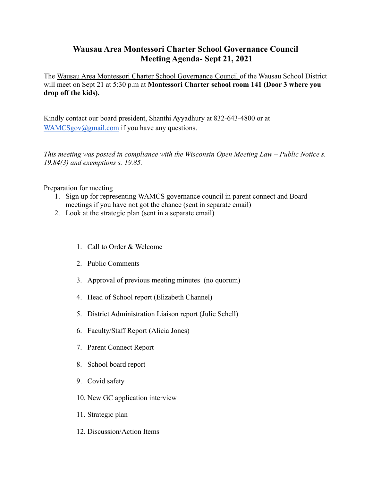## **Wausau Area Montessori Charter School Governance Council Meeting Agenda- Sept 21, 2021**

The Wausau Area Montessori Charter School Governance Council of the Wausau School District will meet on Sept 21 at 5:30 p.m at **Montessori Charter school room 141 (Door 3 where you drop off the kids).**

Kindly contact our board president, Shanthi Ayyadhury at 832-643-4800 or at [WAMCSgov@gmail.com](mailto:WAMCSgov@gmail.com) if you have any questions.

*This meeting was posted in compliance with the Wisconsin Open Meeting Law – Public Notice s. 19.84(3) and exemptions s. 19.85.*

Preparation for meeting

- 1. Sign up for representing WAMCS governance council in parent connect and Board meetings if you have not got the chance (sent in separate email)
- 2. Look at the strategic plan (sent in a separate email)
	- 1. Call to Order & Welcome
	- 2. Public Comments
	- 3. Approval of previous meeting minutes (no quorum)
	- 4. Head of School report (Elizabeth Channel)
	- 5. District Administration Liaison report (Julie Schell)
	- 6. Faculty/Staff Report (Alicia Jones)
	- 7. Parent Connect Report
	- 8. School board report
	- 9. Covid safety
	- 10. New GC application interview
	- 11. Strategic plan
	- 12. Discussion/Action Items